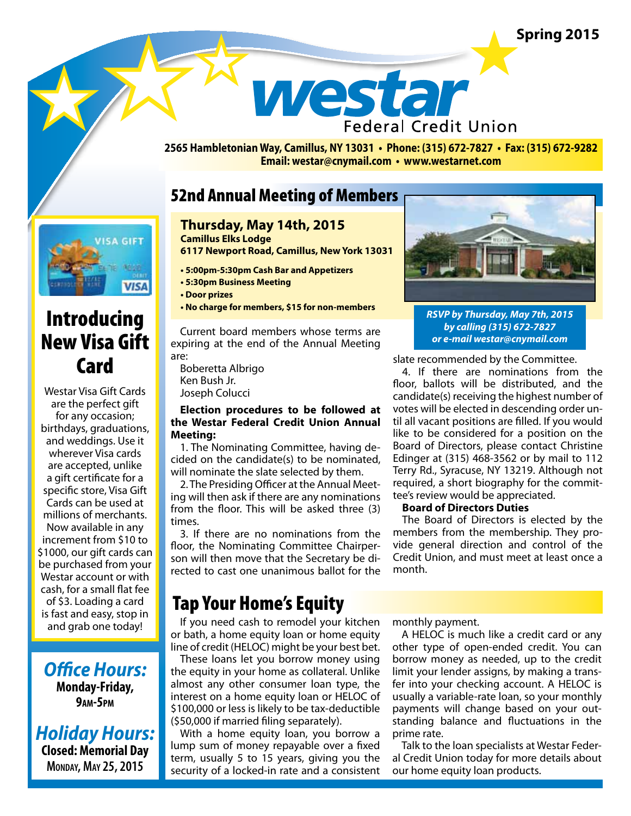## **Spring 2015**



**2565 Hambletonian Way, Camillus, NY 13031 • Phone: (315) 672-7827 • Fax: (315) 672-9282 Email: westar@cnymail.com • www.westarnet.com**

## 52nd Annual Meeting of Members



# Introducing New Visa Gift **Card**

Westar Visa Gift Cards are the perfect gift for any occasion; birthdays, graduations, and weddings. Use it wherever Visa cards are accepted, unlike a gift certificate for a specific store, Visa Gift Cards can be used at millions of merchants. Now available in any increment from \$10 to \$1000, our gift cards can be purchased from your Westar account or with cash, for a small flat fee of \$3. Loading a card is fast and easy, stop in and grab one today!

*Office Hours:*  **Monday-Friday, 9am-5pm**

*Holiday Hours:* **Closed: Memorial Day Monday, May 25, 2015**

### **Thursday, May 14th, 2015 Camillus Elks Lodge**

**6117 Newport Road, Camillus, New York 13031**

- **5:00pm-5:30pm Cash Bar and Appetizers**
- **5:30pm Business Meeting**
- **Door prizes**
- **No charge for members, \$15 for non-members**

Current board members whose terms are expiring at the end of the Annual Meeting are:

Boberetta Albrigo Ken Bush Jr. Joseph Colucci

### **Election procedures to be followed at the Westar Federal Credit Union Annual Meeting:**

1. The Nominating Committee, having decided on the candidate(s) to be nominated, will nominate the slate selected by them.

2. The Presiding Officer at the Annual Meeting will then ask if there are any nominations from the floor. This will be asked three (3) times.

3. If there are no nominations from the floor, the Nominating Committee Chairperson will then move that the Secretary be directed to cast one unanimous ballot for the

# Tap Your Home's Equity

If you need cash to remodel your kitchen or bath, a home equity loan or home equity line of credit (HELOC) might be your best bet.

These loans let you borrow money using the equity in your home as collateral. Unlike almost any other consumer loan type, the interest on a home equity loan or HELOC of \$100,000 or less is likely to be tax-deductible (\$50,000 if married filing separately).

With a home equity loan, you borrow a lump sum of money repayable over a fixed term, usually 5 to 15 years, giving you the security of a locked-in rate and a consistent monthly payment.

A HELOC is much like a credit card or any other type of open-ended credit. You can borrow money as needed, up to the credit limit your lender assigns, by making a transfer into your checking account. A HELOC is usually a variable-rate loan, so your monthly payments will change based on your outstanding balance and fluctuations in the prime rate.

Talk to the loan specialists at Westar Federal Credit Union today for more details about our home equity loan products.



*RSVP by Thursday, May 7th, 2015 by calling (315) 672-7827 or e-mail westar@cnymail.com*

slate recommended by the Committee.

4. If there are nominations from the floor, ballots will be distributed, and the candidate(s) receiving the highest number of votes will be elected in descending order until all vacant positions are filled. If you would like to be considered for a position on the Board of Directors, please contact Christine Edinger at (315) 468-3562 or by mail to 112 Terry Rd., Syracuse, NY 13219. Although not required, a short biography for the committee's review would be appreciated.

### **Board of Directors Duties**

The Board of Directors is elected by the members from the membership. They provide general direction and control of the Credit Union, and must meet at least once a month.